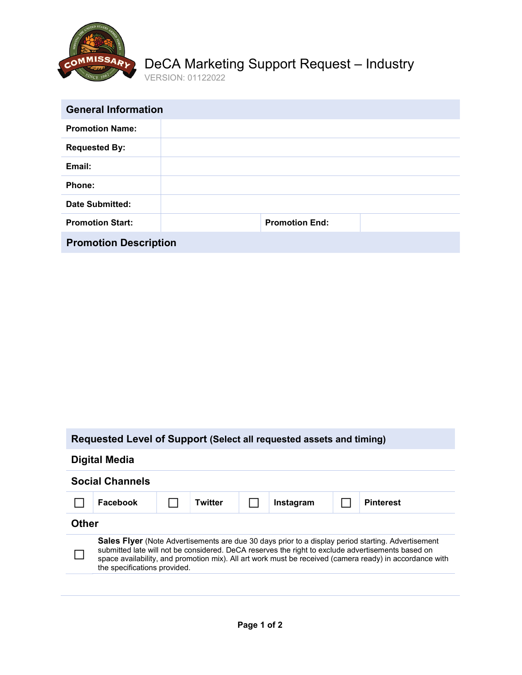

## eCA Marketing Support Request – Industry DeCA Marketing Support Request – Industry

ERSION: 01122022 VERSION: 01122022

| <b>General Information</b>   |  |                       |  |  |  |
|------------------------------|--|-----------------------|--|--|--|
| <b>Promotion Name:</b>       |  |                       |  |  |  |
| <b>Requested By:</b>         |  |                       |  |  |  |
| Email:                       |  |                       |  |  |  |
| Phone:                       |  |                       |  |  |  |
| <b>Date Submitted:</b>       |  |                       |  |  |  |
| <b>Promotion Start:</b>      |  | <b>Promotion End:</b> |  |  |  |
| <b>Promotion Description</b> |  |                       |  |  |  |

| Requested Level of Support (Select all requested assets and timing)                                                                                                                                                                                                                                                                                |          |  |                |  |           |                  |
|----------------------------------------------------------------------------------------------------------------------------------------------------------------------------------------------------------------------------------------------------------------------------------------------------------------------------------------------------|----------|--|----------------|--|-----------|------------------|
| Digital Media                                                                                                                                                                                                                                                                                                                                      |          |  |                |  |           |                  |
| <b>Social Channels</b>                                                                                                                                                                                                                                                                                                                             |          |  |                |  |           |                  |
|                                                                                                                                                                                                                                                                                                                                                    | Facebook |  | <b>Twitter</b> |  | Instagram | <b>Pinterest</b> |
| <b>Other</b>                                                                                                                                                                                                                                                                                                                                       |          |  |                |  |           |                  |
| Sales Flyer (Note Advertisements are due 30 days prior to a display period starting. Advertisement<br>submitted late will not be considered. DeCA reserves the right to exclude advertisements based on<br>space availability, and promotion mix). All art work must be received (camera ready) in accordance with<br>the specifications provided. |          |  |                |  |           |                  |
|                                                                                                                                                                                                                                                                                                                                                    |          |  |                |  |           |                  |